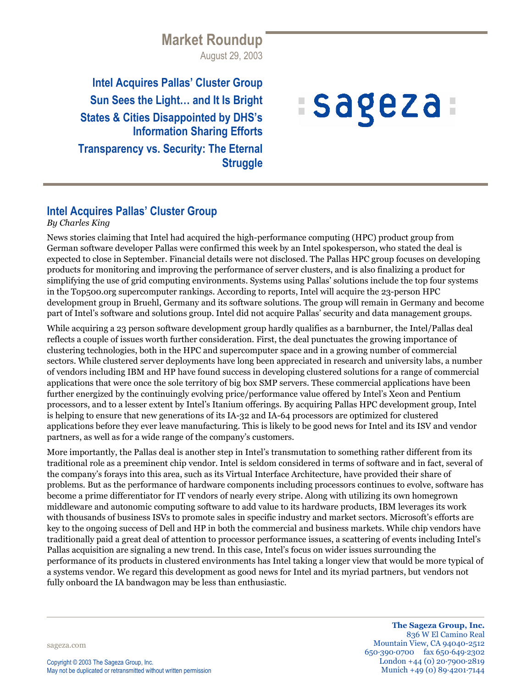# **Market Roundup** August 29, 2003

**Intel Acquires Pallas' Cluster Group Sun Sees the Light… and It Is Bright States & Cities Disappointed by DHS's Information Sharing Efforts Transparency vs. Security: The Eternal Struggle**

# :sageza:

## **Intel Acquires Pallas' Cluster Group**

#### *By Charles King*

News stories claiming that Intel had acquired the high-performance computing (HPC) product group from German software developer Pallas were confirmed this week by an Intel spokesperson, who stated the deal is expected to close in September. Financial details were not disclosed. The Pallas HPC group focuses on developing products for monitoring and improving the performance of server clusters, and is also finalizing a product for simplifying the use of grid computing environments. Systems using Pallas' solutions include the top four systems in the Top500.org supercomputer rankings. According to reports, Intel will acquire the 23-person HPC development group in Bruehl, Germany and its software solutions. The group will remain in Germany and become part of Intel's software and solutions group. Intel did not acquire Pallas' security and data management groups.

While acquiring a 23 person software development group hardly qualifies as a barnburner, the Intel/Pallas deal reflects a couple of issues worth further consideration. First, the deal punctuates the growing importance of clustering technologies, both in the HPC and supercomputer space and in a growing number of commercial sectors. While clustered server deployments have long been appreciated in research and university labs, a number of vendors including IBM and HP have found success in developing clustered solutions for a range of commercial applications that were once the sole territory of big box SMP servers. These commercial applications have been further energized by the continuingly evolving price/performance value offered by Intel's Xeon and Pentium processors, and to a lesser extent by Intel's Itanium offerings. By acquiring Pallas HPC development group, Intel is helping to ensure that new generations of its IA-32 and IA-64 processors are optimized for clustered applications before they ever leave manufacturing. This is likely to be good news for Intel and its ISV and vendor partners, as well as for a wide range of the company's customers.

More importantly, the Pallas deal is another step in Intel's transmutation to something rather different from its traditional role as a preeminent chip vendor. Intel is seldom considered in terms of software and in fact, several of the company's forays into this area, such as its Virtual Interface Architecture, have provided their share of problems. But as the performance of hardware components including processors continues to evolve, software has become a prime differentiator for IT vendors of nearly every stripe. Along with utilizing its own homegrown middleware and autonomic computing software to add value to its hardware products, IBM leverages its work with thousands of business ISVs to promote sales in specific industry and market sectors. Microsoft's efforts are key to the ongoing success of Dell and HP in both the commercial and business markets. While chip vendors have traditionally paid a great deal of attention to processor performance issues, a scattering of events including Intel's Pallas acquisition are signaling a new trend. In this case, Intel's focus on wider issues surrounding the performance of its products in clustered environments has Intel taking a longer view that would be more typical of a systems vendor. We regard this development as good news for Intel and its myriad partners, but vendors not fully onboard the IA bandwagon may be less than enthusiastic.

sageza.com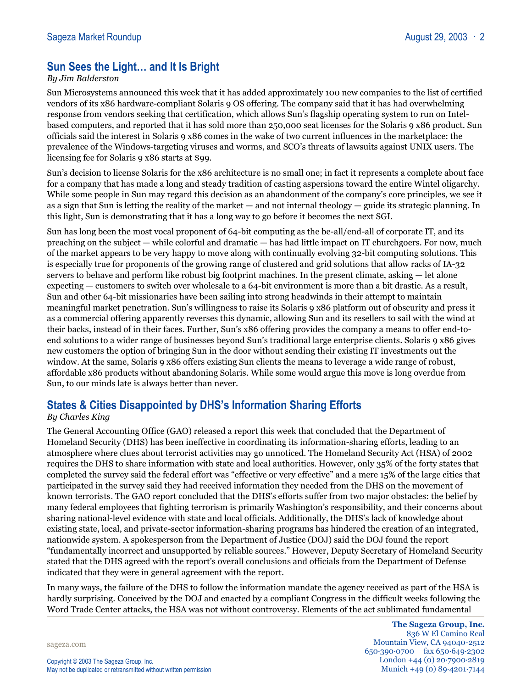## **Sun Sees the Light… and It Is Bright**

#### *By Jim Balderston*

Sun Microsystems announced this week that it has added approximately 100 new companies to the list of certified vendors of its x86 hardware-compliant Solaris 9 OS offering. The company said that it has had overwhelming response from vendors seeking that certification, which allows Sun's flagship operating system to run on Intelbased computers, and reported that it has sold more than 250,000 seat licenses for the Solaris 9 x86 product. Sun officials said the interest in Solaris 9 x86 comes in the wake of two current influences in the marketplace: the prevalence of the Windows-targeting viruses and worms, and SCO's threats of lawsuits against UNIX users. The licensing fee for Solaris 9 x86 starts at \$99.

Sun's decision to license Solaris for the x86 architecture is no small one; in fact it represents a complete about face for a company that has made a long and steady tradition of casting aspersions toward the entire Wintel oligarchy. While some people in Sun may regard this decision as an abandonment of the company's core principles, we see it as a sign that Sun is letting the reality of the market — and not internal theology — guide its strategic planning. In this light, Sun is demonstrating that it has a long way to go before it becomes the next SGI.

Sun has long been the most vocal proponent of 64-bit computing as the be-all/end-all of corporate IT, and its preaching on the subject — while colorful and dramatic — has had little impact on IT churchgoers. For now, much of the market appears to be very happy to move along with continually evolving 32-bit computing solutions. This is especially true for proponents of the growing range of clustered and grid solutions that allow racks of IA-32 servers to behave and perform like robust big footprint machines. In the present climate, asking — let alone expecting — customers to switch over wholesale to a 64-bit environment is more than a bit drastic. As a result, Sun and other 64-bit missionaries have been sailing into strong headwinds in their attempt to maintain meaningful market penetration. Sun's willingness to raise its Solaris 9 x86 platform out of obscurity and press it as a commercial offering apparently reverses this dynamic, allowing Sun and its resellers to sail with the wind at their backs, instead of in their faces. Further, Sun's x86 offering provides the company a means to offer end-toend solutions to a wider range of businesses beyond Sun's traditional large enterprise clients. Solaris 9 x86 gives new customers the option of bringing Sun in the door without sending their existing IT investments out the window. At the same, Solaris 9 x86 offers existing Sun clients the means to leverage a wide range of robust, affordable x86 products without abandoning Solaris. While some would argue this move is long overdue from Sun, to our minds late is always better than never.

## **States & Cities Disappointed by DHS's Information Sharing Efforts**

#### *By Charles King*

The General Accounting Office (GAO) released a report this week that concluded that the Department of Homeland Security (DHS) has been ineffective in coordinating its information-sharing efforts, leading to an atmosphere where clues about terrorist activities may go unnoticed. The Homeland Security Act (HSA) of 2002 requires the DHS to share information with state and local authorities. However, only 35% of the forty states that completed the survey said the federal effort was "effective or very effective" and a mere 15% of the large cities that participated in the survey said they had received information they needed from the DHS on the movement of known terrorists. The GAO report concluded that the DHS's efforts suffer from two major obstacles: the belief by many federal employees that fighting terrorism is primarily Washington's responsibility, and their concerns about sharing national-level evidence with state and local officials. Additionally, the DHS's lack of knowledge about existing state, local, and private-sector information-sharing programs has hindered the creation of an integrated, nationwide system. A spokesperson from the Department of Justice (DOJ) said the DOJ found the report "fundamentally incorrect and unsupported by reliable sources." However, Deputy Secretary of Homeland Security stated that the DHS agreed with the report's overall conclusions and officials from the Department of Defense indicated that they were in general agreement with the report.

In many ways, the failure of the DHS to follow the information mandate the agency received as part of the HSA is hardly surprising. Conceived by the DOJ and enacted by a compliant Congress in the difficult weeks following the Word Trade Center attacks, the HSA was not without controversy. Elements of the act sublimated fundamental

sageza.com

**The Sageza Group, Inc.** 836 W El Camino Real Mountain View, CA 94040-2512 650·390·0700 fax 650·649·2302 London +44 (0) 20·7900·2819 Munich +49 (0) 89·4201·7144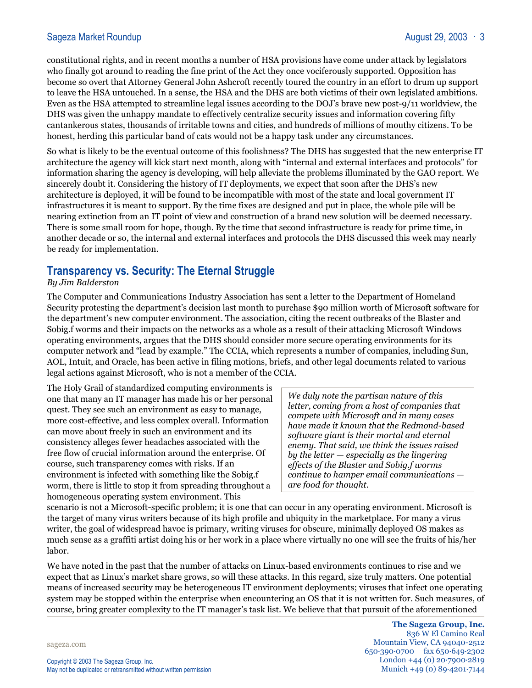constitutional rights, and in recent months a number of HSA provisions have come under attack by legislators who finally got around to reading the fine print of the Act they once vociferously supported. Opposition has become so overt that Attorney General John Ashcroft recently toured the country in an effort to drum up support to leave the HSA untouched. In a sense, the HSA and the DHS are both victims of their own legislated ambitions. Even as the HSA attempted to streamline legal issues according to the DOJ's brave new post-9/11 worldview, the DHS was given the unhappy mandate to effectively centralize security issues and information covering fifty cantankerous states, thousands of irritable towns and cities, and hundreds of millions of mouthy citizens. To be honest, herding this particular band of cats would not be a happy task under any circumstances.

So what is likely to be the eventual outcome of this foolishness? The DHS has suggested that the new enterprise IT architecture the agency will kick start next month, along with "internal and external interfaces and protocols" for information sharing the agency is developing, will help alleviate the problems illuminated by the GAO report. We sincerely doubt it. Considering the history of IT deployments, we expect that soon after the DHS's new architecture is deployed, it will be found to be incompatible with most of the state and local government IT infrastructures it is meant to support. By the time fixes are designed and put in place, the whole pile will be nearing extinction from an IT point of view and construction of a brand new solution will be deemed necessary. There is some small room for hope, though. By the time that second infrastructure is ready for prime time, in another decade or so, the internal and external interfaces and protocols the DHS discussed this week may nearly be ready for implementation.

## **Transparency vs. Security: The Eternal Struggle**

#### *By Jim Balderston*

The Computer and Communications Industry Association has sent a letter to the Department of Homeland Security protesting the department's decision last month to purchase \$90 million worth of Microsoft software for the department's new computer environment. The association, citing the recent outbreaks of the Blaster and Sobig.f worms and their impacts on the networks as a whole as a result of their attacking Microsoft Windows operating environments, argues that the DHS should consider more secure operating environments for its computer network and "lead by example." The CCIA, which represents a number of companies, including Sun, AOL, Intuit, and Oracle, has been active in filing motions, briefs, and other legal documents related to various legal actions against Microsoft, who is not a member of the CCIA.

The Holy Grail of standardized computing environments is one that many an IT manager has made his or her personal quest. They see such an environment as easy to manage, more cost-effective, and less complex overall. Information can move about freely in such an environment and its consistency alleges fewer headaches associated with the free flow of crucial information around the enterprise. Of course, such transparency comes with risks. If an environment is infected with something like the Sobig.f worm, there is little to stop it from spreading throughout a homogeneous operating system environment. This

*We duly note the partisan nature of this letter, coming from a host of companies that compete with Microsoft and in many cases have made it known that the Redmond-based software giant is their mortal and eternal enemy. That said, we think the issues raised by the letter — especially as the lingering effects of the Blaster and Sobig.f worms continue to hamper email communications are food for thought.*

scenario is not a Microsoft-specific problem; it is one that can occur in any operating environment. Microsoft is the target of many virus writers because of its high profile and ubiquity in the marketplace. For many a virus writer, the goal of widespread havoc is primary, writing viruses for obscure, minimally deployed OS makes as much sense as a graffiti artist doing his or her work in a place where virtually no one will see the fruits of his/her labor.

We have noted in the past that the number of attacks on Linux-based environments continues to rise and we expect that as Linux's market share grows, so will these attacks. In this regard, size truly matters. One potential means of increased security may be heterogeneous IT environment deployments; viruses that infect one operating system may be stopped within the enterprise when encountering an OS that it is not written for. Such measures, of course, bring greater complexity to the IT manager's task list. We believe that that pursuit of the aforementioned

sageza.com

**The Sageza Group, Inc.** 836 W El Camino Real Mountain View, CA 94040-2512 650·390·0700 fax 650·649·2302 London +44 (0) 20·7900·2819 Munich +49 (0) 89·4201·7144